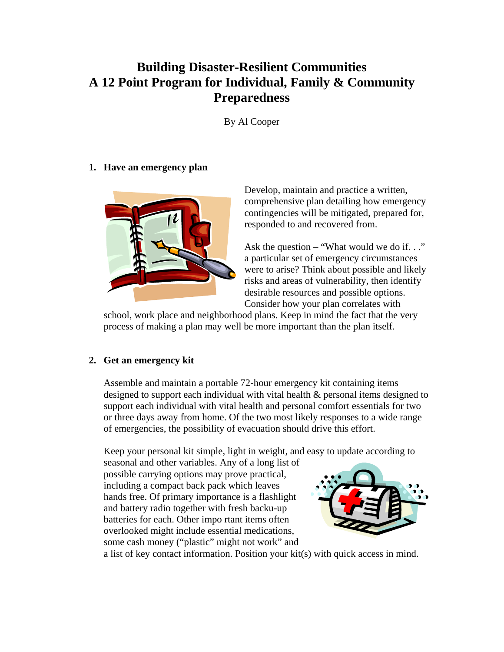# **Building Disaster-Resilient Communities A 12 Point Program for Individual, Family & Community Preparedness**

By Al Cooper

## **1. Have an emergency plan**



Develop, maintain and practice a written, comprehensive plan detailing how emergency contingencies will be mitigated, prepared for, responded to and recovered from.

Ask the question – "What would we do if. . ." a particular set of emergency circumstances were to arise? Think about possible and likely risks and areas of vulnerability, then identify desirable resources and possible options. Consider how your plan correlates with

school, work place and neighborhood plans. Keep in mind the fact that the very process of making a plan may well be more important than the plan itself.

# **2. Get an emergency kit**

Assemble and maintain a portable 72-hour emergency kit containing items designed to support each individual with vital health & personal items designed to support each individual with vital health and personal comfort essentials for two or three days away from home. Of the two most likely responses to a wide range of emergencies, the possibility of evacuation should drive this effort.

Keep your personal kit simple, light in weight, and easy to update according to

seasonal and other variables. Any of a long list of possible carrying options may prove practical, including a compact back pack which leaves hands free. Of primary importance is a flashlight and battery radio together with fresh backu-up batteries for each. Other impo rtant items often overlooked might include essential medications, some cash money ("plastic" might not work" and



a list of key contact information. Position your kit(s) with quick access in mind.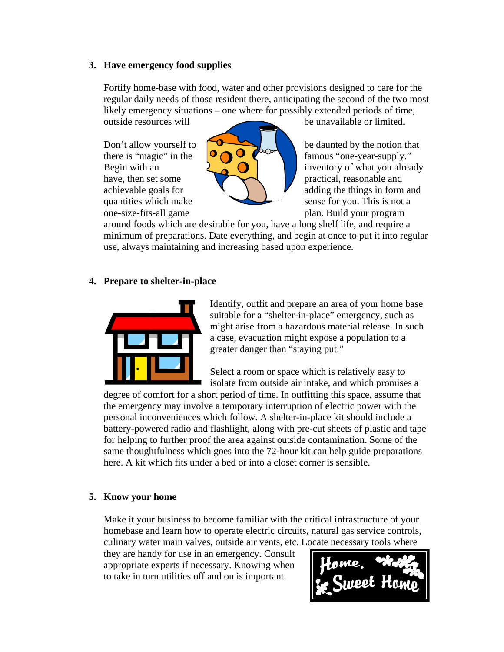#### **3. Have emergency food supplies**

Fortify home-base with food, water and other provisions designed to care for the regular daily needs of those resident there, anticipating the second of the two most likely emergency situations – one where for possibly extended periods of time, outside resources will be unavailable or limited.



Don't allow yourself to  $\sim$  be daunted by the notion that there is "magic" in the  $\bigcirc \bigcirc \bigcirc \bigcirc \bigcirc$  famous "one-year-supply." Begin with an  $\begin{array}{|c|c|c|c|c|c|} \hline \end{array}$  inventory of what you already have, then set some practical, reasonable and achievable goals for  $\blacksquare$ quantities which make sense for you. This is not a one-size-fits-all game plan. Build your program

around foods which are desirable for you, have a long shelf life, and require a minimum of preparations. Date everything, and begin at once to put it into regular use, always maintaining and increasing based upon experience.

### **4. Prepare to shelter-in-place**



Identify, outfit and prepare an area of your home base suitable for a "shelter-in-place" emergency, such as might arise from a hazardous material release. In such a case, evacuation might expose a population to a greater danger than "staying put."

Select a room or space which is relatively easy to isolate from outside air intake, and which promises a

degree of comfort for a short period of time. In outfitting this space, assume that the emergency may involve a temporary interruption of electric power with the personal inconveniences which follow. A shelter-in-place kit should include a battery-powered radio and flashlight, along with pre-cut sheets of plastic and tape for helping to further proof the area against outside contamination. Some of the same thoughtfulness which goes into the 72-hour kit can help guide preparations here. A kit which fits under a bed or into a closet corner is sensible.

#### **5. Know your home**

Make it your business to become familiar with the critical infrastructure of your homebase and learn how to operate electric circuits, natural gas service controls, culinary water main valves, outside air vents, etc. Locate necessary tools where

they are handy for use in an emergency. Consult appropriate experts if necessary. Knowing when to take in turn utilities off and on is important.

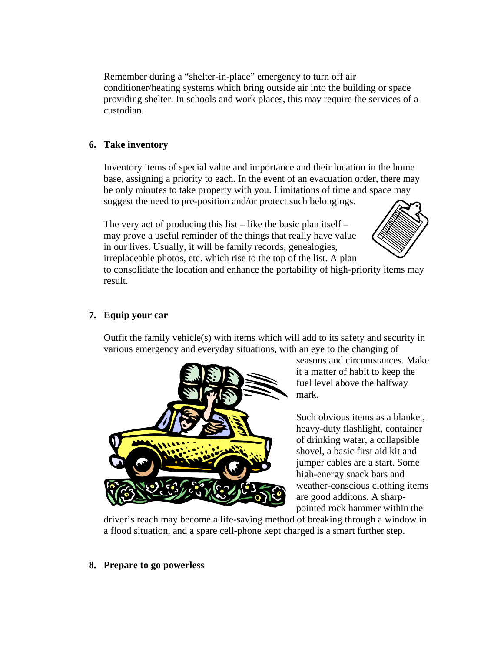Remember during a "shelter-in-place" emergency to turn off air conditioner/heating systems which bring outside air into the building or space providing shelter. In schools and work places, this may require the services of a custodian.

## **6. Take inventory**

Inventory items of special value and importance and their location in the home base, assigning a priority to each. In the event of an evacuation order, there may be only minutes to take property with you. Limitations of time and space may suggest the need to pre-position and/or protect such belongings.

The very act of producing this list – like the basic plan itself – may prove a useful reminder of the things that really have value in our lives. Usually, it will be family records, genealogies,



irreplaceable photos, etc. which rise to the top of the list. A plan to consolidate the location and enhance the portability of high-priority items may result.

## **7. Equip your car**

Outfit the family vehicle(s) with items which will add to its safety and security in various emergency and everyday situations, with an eye to the changing of



seasons and circumstances. Make it a matter of habit to keep the fuel level above the halfway mark.

Such obvious items as a blanket, heavy-duty flashlight, container of drinking water, a collapsible shovel, a basic first aid kit and jumper cables are a start. Some high-energy snack bars and weather-conscious clothing items are good additons. A sharppointed rock hammer within the

driver's reach may become a life-saving method of breaking through a window in a flood situation, and a spare cell-phone kept charged is a smart further step.

#### **8. Prepare to go powerless**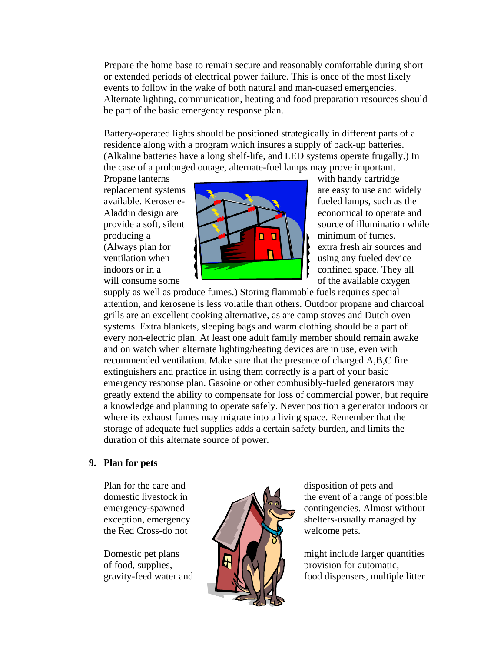Prepare the home base to remain secure and reasonably comfortable during short or extended periods of electrical power failure. This is once of the most likely events to follow in the wake of both natural and man-cuased emergencies. Alternate lighting, communication, heating and food preparation resources should be part of the basic emergency response plan.

Battery-operated lights should be positioned strategically in different parts of a residence along with a program which insures a supply of back-up batteries. (Alkaline batteries have a long shelf-life, and LED systems operate frugally.) In the case of a prolonged outage, alternate-fuel lamps may prove important.



supply as well as produce fumes.) Storing flammable fuels requires special attention, and kerosene is less volatile than others. Outdoor propane and charcoal grills are an excellent cooking alternative, as are camp stoves and Dutch oven systems. Extra blankets, sleeping bags and warm clothing should be a part of every non-electric plan. At least one adult family member should remain awake and on watch when alternate lighting/heating devices are in use, even with recommended ventilation. Make sure that the presence of charged A,B,C fire extinguishers and practice in using them correctly is a part of your basic emergency response plan. Gasoine or other combusibly-fueled generators may greatly extend the ability to compensate for loss of commercial power, but require a knowledge and planning to operate safely. Never position a generator indoors or where its exhaust fumes may migrate into a living space. Remember that the storage of adequate fuel supplies adds a certain safety burden, and limits the duration of this alternate source of power.

#### **9. Plan for pets**



domestic livestock in  $\mathbb{R}^n$  the event of a range of possible emergency-spawned  $\bigcap_{n=1}^{\infty} \bigcup_{n=1}^{\infty}$  contingencies. Almost without exception, emergency  $\left\{\left\{\right\}\right\}$  shelters-usually managed by

Domestic pet plans  $\left| \sum_{n=1}^{\infty} \right|$  might include larger quantities of food, supplies,  $\|\cdot\|$   $\|\cdot\|$  provision for automatic, gravity-feed water and  $\mathbf{N} \times \mathbf{N}$  food dispensers, multiple litter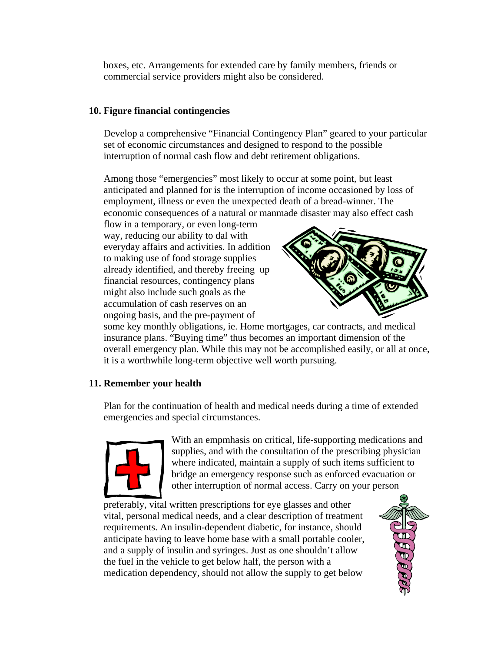boxes, etc. Arrangements for extended care by family members, friends or commercial service providers might also be considered.

## **10. Figure financial contingencies**

Develop a comprehensive "Financial Contingency Plan" geared to your particular set of economic circumstances and designed to respond to the possible interruption of normal cash flow and debt retirement obligations.

Among those "emergencies" most likely to occur at some point, but least anticipated and planned for is the interruption of income occasioned by loss of employment, illness or even the unexpected death of a bread-winner. The economic consequences of a natural or manmade disaster may also effect cash

flow in a temporary, or even long-term way, reducing our ability to dal with everyday affairs and activities. In addition to making use of food storage supplies already identified, and thereby freeing up financial resources, contingency plans might also include such goals as the accumulation of cash reserves on an ongoing basis, and the pre-payment of



some key monthly obligations, ie. Home mortgages, car contracts, and medical insurance plans. "Buying time" thus becomes an important dimension of the overall emergency plan. While this may not be accomplished easily, or all at once, it is a worthwhile long-term objective well worth pursuing.

# **11. Remember your health**

Plan for the continuation of health and medical needs during a time of extended emergencies and special circumstances.



With an empmhasis on critical, life-supporting medications and supplies, and with the consultation of the prescribing physician where indicated, maintain a supply of such items sufficient to bridge an emergency response such as enforced evacuation or other interruption of normal access. Carry on your person

preferably, vital written prescriptions for eye glasses and other vital, personal medical needs, and a clear description of treatment requirements. An insulin-dependent diabetic, for instance, should anticipate having to leave home base with a small portable cooler, and a supply of insulin and syringes. Just as one shouldn't allow the fuel in the vehicle to get below half, the person with a medication dependency, should not allow the supply to get below